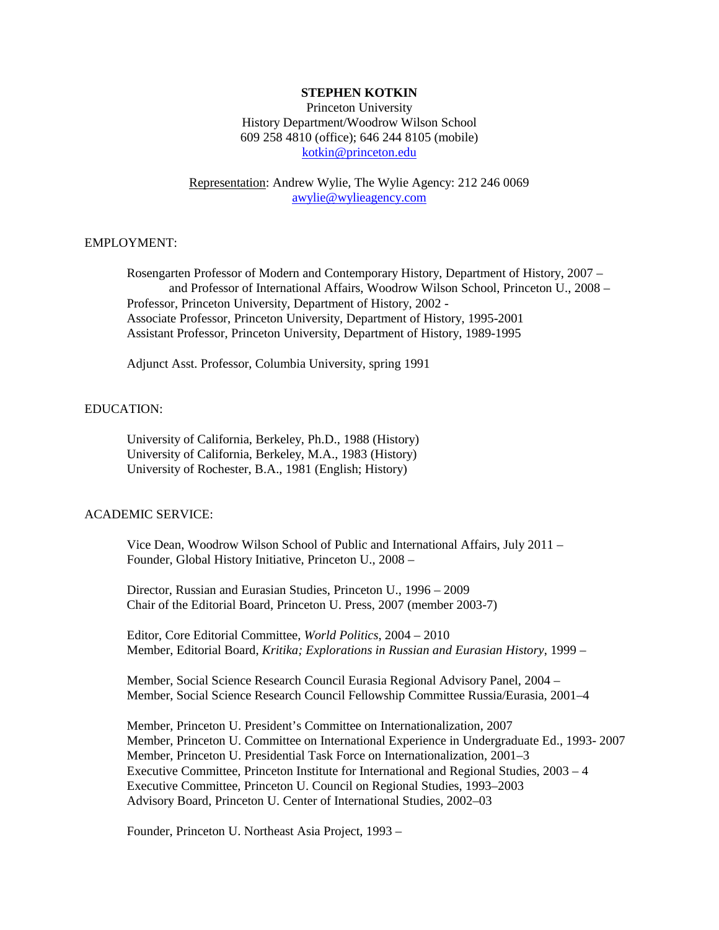## **STEPHEN KOTKIN**

Princeton University History Department/Woodrow Wilson School 609 258 4810 (office); 646 244 8105 (mobile) [kotkin@princeton.edu](mailto:kotkin@princeton.edu)

Representation: Andrew Wylie, The Wylie Agency: 212 246 0069 [awylie@wylieagency.com](mailto:awylie@wylieagency.com)

## EMPLOYMENT:

Rosengarten Professor of Modern and Contemporary History, Department of History, 2007 – and Professor of International Affairs, Woodrow Wilson School, Princeton U., 2008 – Professor, Princeton University, Department of History, 2002 - Associate Professor, Princeton University, Department of History, 1995-2001 Assistant Professor, Princeton University, Department of History, 1989-1995

Adjunct Asst. Professor, Columbia University, spring 1991

## EDUCATION:

University of California, Berkeley, Ph.D., 1988 (History) University of California, Berkeley, M.A., 1983 (History) University of Rochester, B.A., 1981 (English; History)

#### ACADEMIC SERVICE:

Vice Dean, Woodrow Wilson School of Public and International Affairs, July 2011 – Founder, Global History Initiative, Princeton U., 2008 –

Director, Russian and Eurasian Studies, Princeton U., 1996 – 2009 Chair of the Editorial Board, Princeton U. Press, 2007 (member 2003-7)

Editor, Core Editorial Committee, *World Politics*, 2004 – 2010 Member, Editorial Board, *Kritika; Explorations in Russian and Eurasian History*, 1999 –

Member, Social Science Research Council Eurasia Regional Advisory Panel, 2004 – Member, Social Science Research Council Fellowship Committee Russia/Eurasia, 2001–4

Member, Princeton U. President's Committee on Internationalization, 2007 Member, Princeton U. Committee on International Experience in Undergraduate Ed., 1993- 2007 Member, Princeton U. Presidential Task Force on Internationalization, 2001–3 Executive Committee, Princeton Institute for International and Regional Studies, 2003 – 4 Executive Committee, Princeton U. Council on Regional Studies, 1993–2003 Advisory Board, Princeton U. Center of International Studies, 2002–03

Founder, Princeton U. Northeast Asia Project, 1993 –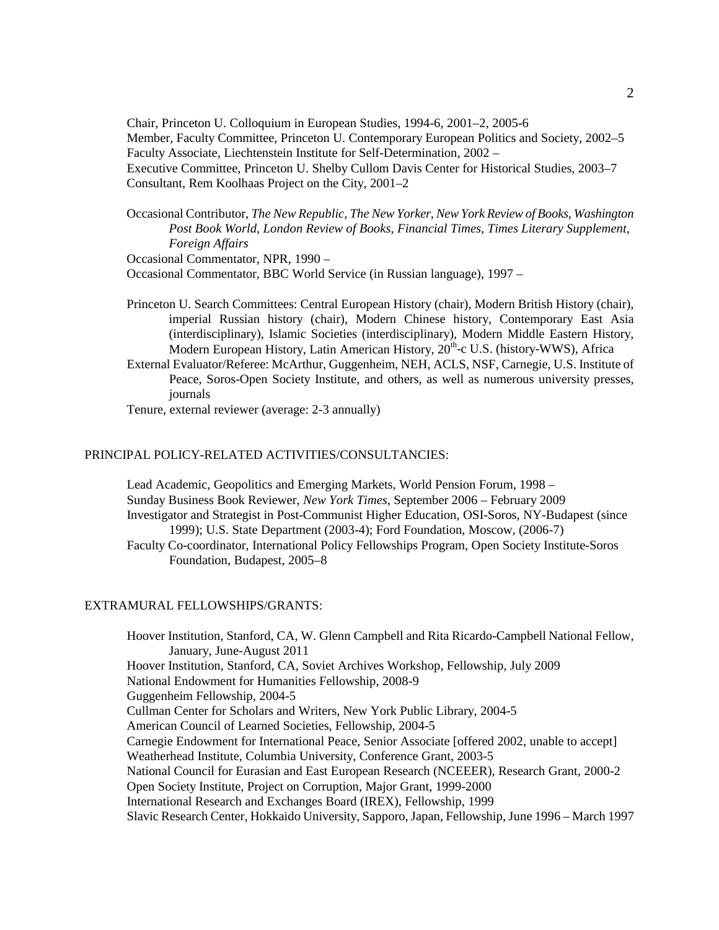Chair, Princeton U. Colloquium in European Studies, 1994-6, 2001–2, 2005-6 Member, Faculty Committee, Princeton U. Contemporary European Politics and Society, 2002–5 Faculty Associate, Liechtenstein Institute for Self-Determination, 2002 – Executive Committee, Princeton U. Shelby Cullom Davis Center for Historical Studies, 2003–7 Consultant, Rem Koolhaas Project on the City, 2001–2

Occasional Contributor, *The New Republic, The New Yorker, New York Review of Books, Washington Post Book World, London Review of Books*, *Financial Times, Times Literary Supplement, Foreign Affairs*

Occasional Commentator, NPR, 1990 –

Occasional Commentator, BBC World Service (in Russian language), 1997 –

- Princeton U. Search Committees: Central European History (chair), Modern British History (chair), imperial Russian history (chair), Modern Chinese history, Contemporary East Asia (interdisciplinary), Islamic Societies (interdisciplinary), Modern Middle Eastern History, Modern European History, Latin American History, 20<sup>th</sup>-c U.S. (history-WWS), Africa
- External Evaluator/Referee: McArthur, Guggenheim, NEH, ACLS, NSF, Carnegie, U.S. Institute of Peace, Soros-Open Society Institute, and others, as well as numerous university presses, journals

Tenure, external reviewer (average: 2-3 annually)

## PRINCIPAL POLICY-RELATED ACTIVITIES/CONSULTANCIES:

Lead Academic, Geopolitics and Emerging Markets, World Pension Forum, 1998 – Sunday Business Book Reviewer, *New York Times*, September 2006 – February 2009 Investigator and Strategist in Post-Communist Higher Education, OSI-Soros, NY-Budapest (since 1999); U.S. State Department (2003-4); Ford Foundation, Moscow, (2006-7) Faculty Co-coordinator, International Policy Fellowships Program, Open Society Institute-Soros Foundation, Budapest, 2005–8

#### EXTRAMURAL FELLOWSHIPS/GRANTS:

Hoover Institution, Stanford, CA, W. Glenn Campbell and Rita Ricardo-Campbell National Fellow, January, June-August 2011 Hoover Institution, Stanford, CA, Soviet Archives Workshop, Fellowship, July 2009 National Endowment for Humanities Fellowship, 2008-9 Guggenheim Fellowship, 2004-5 Cullman Center for Scholars and Writers, New York Public Library, 2004-5 American Council of Learned Societies, Fellowship, 2004-5 Carnegie Endowment for International Peace, Senior Associate [offered 2002, unable to accept] Weatherhead Institute, Columbia University, Conference Grant, 2003-5 National Council for Eurasian and East European Research (NCEEER), Research Grant, 2000-2 Open Society Institute, Project on Corruption, Major Grant, 1999-2000 International Research and Exchanges Board (IREX), Fellowship, 1999 Slavic Research Center, Hokkaido University, Sapporo, Japan, Fellowship, June 1996 – March 1997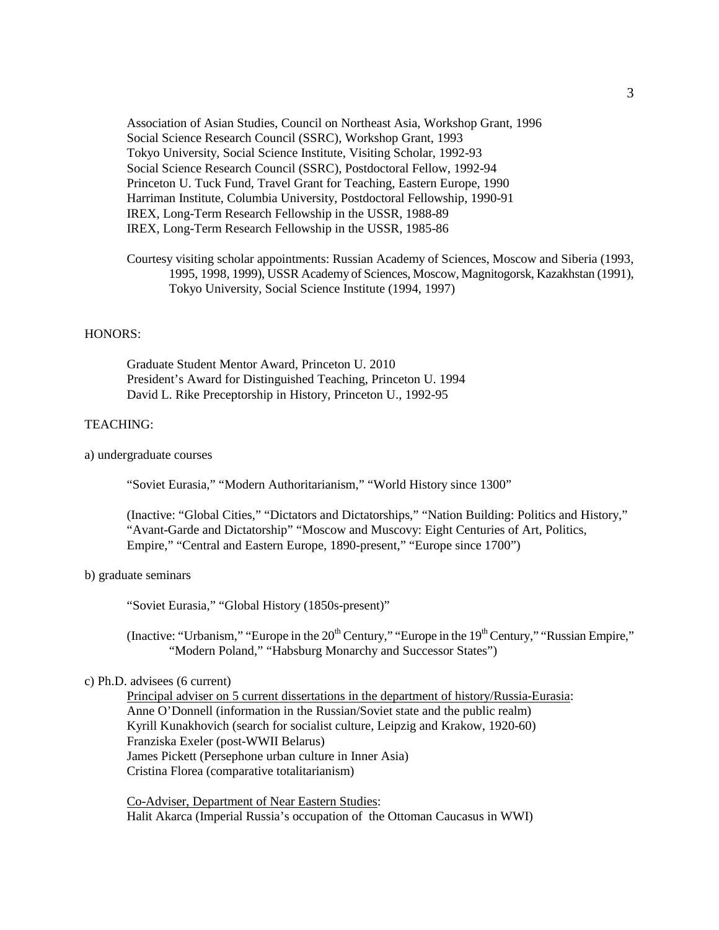Association of Asian Studies, Council on Northeast Asia, Workshop Grant, 1996 Social Science Research Council (SSRC), Workshop Grant, 1993 Tokyo University, Social Science Institute, Visiting Scholar, 1992-93 Social Science Research Council (SSRC), Postdoctoral Fellow, 1992-94 Princeton U. Tuck Fund, Travel Grant for Teaching, Eastern Europe, 1990 Harriman Institute, Columbia University, Postdoctoral Fellowship, 1990-91 IREX, Long-Term Research Fellowship in the USSR, 1988-89 IREX, Long-Term Research Fellowship in the USSR, 1985-86

Courtesy visiting scholar appointments: Russian Academy of Sciences, Moscow and Siberia (1993, 1995, 1998, 1999), USSR Academy of Sciences, Moscow, Magnitogorsk, Kazakhstan (1991), Tokyo University, Social Science Institute (1994, 1997)

#### HONORS:

Graduate Student Mentor Award, Princeton U. 2010 President's Award for Distinguished Teaching, Princeton U. 1994 David L. Rike Preceptorship in History, Princeton U., 1992-95

### TEACHING:

a) undergraduate courses

"Soviet Eurasia," "Modern Authoritarianism," "World History since 1300"

(Inactive: "Global Cities," "Dictators and Dictatorships," "Nation Building: Politics and History," "Avant-Garde and Dictatorship" "Moscow and Muscovy: Eight Centuries of Art, Politics, Empire," "Central and Eastern Europe, 1890-present," "Europe since 1700")

### b) graduate seminars

"Soviet Eurasia," "Global History (1850s-present)"

(Inactive: "Urbanism," "Europe in the 20<sup>th</sup> Century," "Europe in the 19<sup>th</sup> Century," "Russian Empire," "Modern Poland," "Habsburg Monarchy and Successor States")

## c) Ph.D. advisees (6 current)

Principal adviser on 5 current dissertations in the department of history/Russia-Eurasia: Anne O'Donnell (information in the Russian/Soviet state and the public realm) Kyrill Kunakhovich (search for socialist culture, Leipzig and Krakow, 1920-60) Franziska Exeler (post-WWII Belarus) James Pickett (Persephone urban culture in Inner Asia) Cristina Florea (comparative totalitarianism)

Co-Adviser, Department of Near Eastern Studies: Halit Akarca (Imperial Russia's occupation of the Ottoman Caucasus in WWI)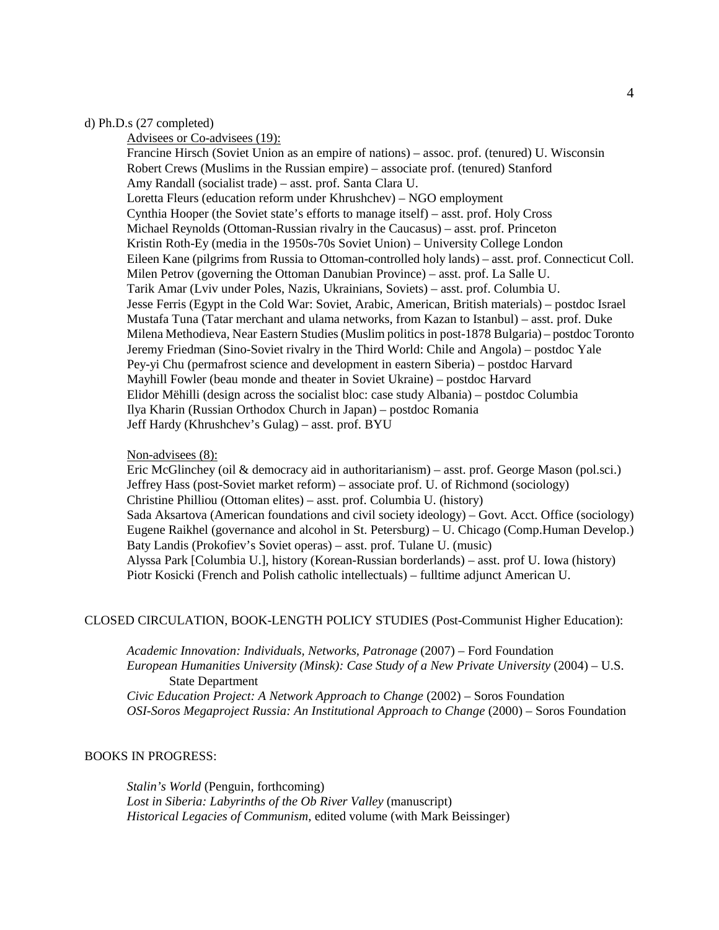## d) Ph.D.s (27 completed)

Advisees or Co-advisees (19): Francine Hirsch (Soviet Union as an empire of nations) – assoc. prof. (tenured) U. Wisconsin Robert Crews (Muslims in the Russian empire) – associate prof. (tenured) Stanford Amy Randall (socialist trade) – asst. prof. Santa Clara U. Loretta Fleurs (education reform under Khrushchev) – NGO employment Cynthia Hooper (the Soviet state's efforts to manage itself) – asst. prof. Holy Cross Michael Reynolds (Ottoman-Russian rivalry in the Caucasus) – asst. prof. Princeton Kristin Roth-Ey (media in the 1950s-70s Soviet Union) – University College London Eileen Kane (pilgrims from Russia to Ottoman-controlled holy lands) – asst. prof. Connecticut Coll. Milen Petrov (governing the Ottoman Danubian Province) – asst. prof. La Salle U. Tarik Amar (Lviv under Poles, Nazis, Ukrainians, Soviets) – asst. prof. Columbia U. Jesse Ferris (Egypt in the Cold War: Soviet, Arabic, American, British materials) – postdoc Israel Mustafa Tuna (Tatar merchant and ulama networks, from Kazan to Istanbul) – asst. prof. Duke Milena Methodieva, Near Eastern Studies (Muslim politics in post-1878 Bulgaria) – postdoc Toronto Jeremy Friedman (Sino-Soviet rivalry in the Third World: Chile and Angola) – postdoc Yale Pey-yi Chu (permafrost science and development in eastern Siberia) – postdoc Harvard Mayhill Fowler (beau monde and theater in Soviet Ukraine) – postdoc Harvard Elidor Mëhilli (design across the socialist bloc: case study Albania) – postdoc Columbia Ilya Kharin (Russian Orthodox Church in Japan) – postdoc Romania Jeff Hardy (Khrushchev's Gulag) – asst. prof. BYU

## Non-advisees (8):

Eric McGlinchey (oil & democracy aid in authoritarianism) – asst. prof. George Mason (pol.sci.) Jeffrey Hass (post-Soviet market reform) – associate prof. U. of Richmond (sociology) Christine Philliou (Ottoman elites) – asst. prof. Columbia U. (history) Sada Aksartova (American foundations and civil society ideology) – Govt. Acct. Office (sociology) Eugene Raikhel (governance and alcohol in St. Petersburg) – U. Chicago (Comp.Human Develop.) Baty Landis (Prokofiev's Soviet operas) – asst. prof. Tulane U. (music) Alyssa Park [Columbia U.], history (Korean-Russian borderlands) – asst. prof U. Iowa (history) Piotr Kosicki (French and Polish catholic intellectuals) – fulltime adjunct American U.

# CLOSED CIRCULATION, BOOK-LENGTH POLICY STUDIES (Post-Communist Higher Education):

*Academic Innovation: Individuals, Networks, Patronage* (2007) – Ford Foundation *European Humanities University (Minsk): Case Study of a New Private University* (2004) – U.S. State Department *Civic Education Project: A Network Approach to Change* (2002) – Soros Foundation *OSI-Soros Megaproject Russia: An Institutional Approach to Change* (2000) – Soros Foundation

#### BOOKS IN PROGRESS:

*Stalin's World* (Penguin, forthcoming) *Lost in Siberia: Labyrinths of the Ob River Valley* (manuscript) *Historical Legacies of Communism*, edited volume (with Mark Beissinger)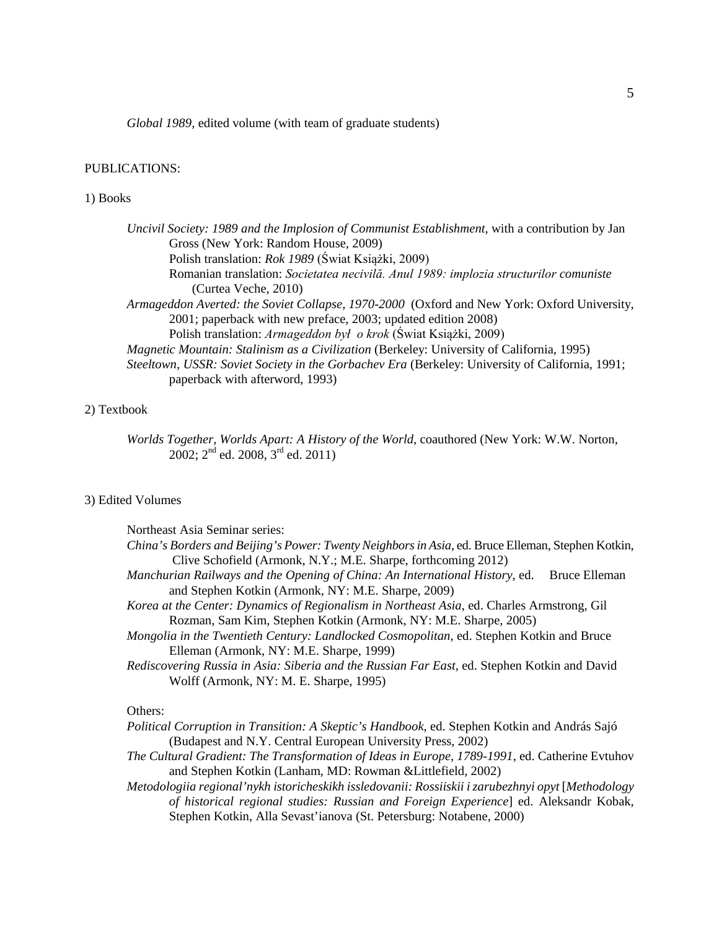*Global 1989*, edited volume (with team of graduate students)

## PUBLICATIONS:

### 1) Books

| Uncivil Society: 1989 and the Implosion of Communist Establishment, with a contribution by Jan                                     |
|------------------------------------------------------------------------------------------------------------------------------------|
| Gross (New York: Random House, 2009)                                                                                               |
| Polish translation: Rok 1989 (Świat Książki, 2009)                                                                                 |
| Romanian translation: Societatea necivilă. Anul 1989: implozia structurilor comuniste                                              |
| (Curtea Veche, 2010)                                                                                                               |
| Armageddon Averted: the Soviet Collapse, 1970-2000 (Oxford and New York: Oxford University,                                        |
| 2001; paperback with new preface, 2003; updated edition 2008)                                                                      |
| Polish translation: Armageddon był o krok (Świat Książki, 2009)                                                                    |
| Magnetic Mountain: Stalinism as a Civilization (Berkeley: University of California, 1995)                                          |
| Steeltown, USSR: Soviet Society in the Gorbachev Era (Berkeley: University of California, 1991;<br>paperback with afterword, 1993) |

## 2) Textbook

*Worlds Together, Worlds Apart: A History of the World*, coauthored (New York: W.W. Norton,  $2002$ ;  $2<sup>nd</sup>$  ed.  $2008$ ,  $3<sup>rd</sup>$  ed.  $2011$ )

## 3) Edited Volumes

| Northeast Asia Seminar series:                                                                    |                      |
|---------------------------------------------------------------------------------------------------|----------------------|
| China's Borders and Beijing's Power: Twenty Neighbors in Asia, ed. Bruce Elleman, Stephen Kotkin, |                      |
| Clive Schofield (Armonk, N.Y.; M.E. Sharpe, forthcoming 2012)                                     |                      |
| Manchurian Railways and the Opening of China: An International History, ed.                       | <b>Bruce Elleman</b> |
| and Stephen Kotkin (Armonk, NY: M.E. Sharpe, 2009)                                                |                      |
| Korea at the Center: Dynamics of Regionalism in Northeast Asia, ed. Charles Armstrong, Gil        |                      |
| Rozman, Sam Kim, Stephen Kotkin (Armonk, NY: M.E. Sharpe, 2005)                                   |                      |
| Mongolia in the Twentieth Century: Landlocked Cosmopolitan, ed. Stephen Kotkin and Bruce          |                      |
| Elleman (Armonk, NY: M.E. Sharpe, 1999)                                                           |                      |
| Rediscovering Russia in Asia: Siberia and the Russian Far East, ed. Stephen Kotkin and David      |                      |
| Wolff (Armonk, NY: M. E. Sharpe, 1995)                                                            |                      |
|                                                                                                   |                      |

## Others:

| Political Corruption in Transition: A Skeptic's Handbook, ed. Stephen Kotkin and András Sajó |  |
|----------------------------------------------------------------------------------------------|--|
| (Budapest and N.Y. Central European University Press, 2002)                                  |  |

*The Cultural Gradient: The Transformation of Ideas in Europe, 1789-1991*, ed. Catherine Evtuhov and Stephen Kotkin (Lanham, MD: Rowman &Littlefield, 2002)

*Metodologiia regional'nykh istoricheskikh issledovanii: Rossiiskii i zarubezhnyi opyt* [*Methodology of historical regional studies: Russian and Foreign Experience*] ed. Aleksandr Kobak, Stephen Kotkin, Alla Sevast'ianova (St. Petersburg: Notabene, 2000)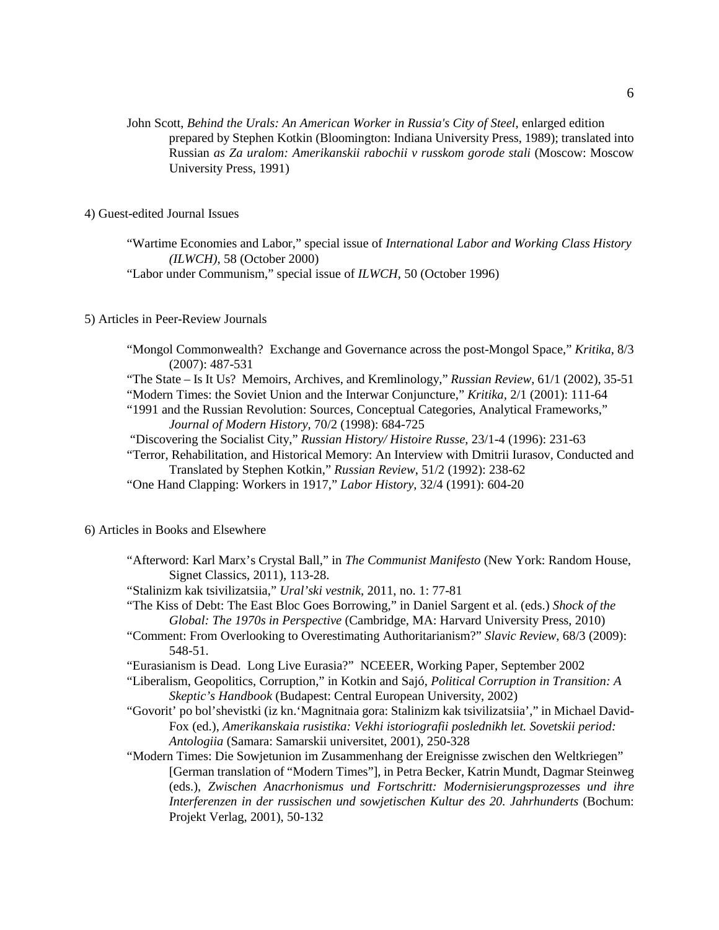John Scott, *Behind the Urals: An American Worker in Russia's City of Steel*, enlarged edition prepared by Stephen Kotkin (Bloomington: Indiana University Press, 1989); translated into Russian *as Za uralom: Amerikanskii rabochii v russkom gorode stali* (Moscow: Moscow University Press, 1991)

4) Guest-edited Journal Issues

"Wartime Economies and Labor," special issue of *International Labor and Working Class History (ILWCH)*, 58 (October 2000)

"Labor under Communism," special issue of *ILWCH*, 50 (October 1996)

## 5) Articles in Peer-Review Journals

"Mongol Commonwealth? Exchange and Governance across the post-Mongol Space," *Kritika*, 8/3 (2007): 487-531

"The State – Is It Us? Memoirs, Archives, and Kremlinology," *Russian Review*, 61/1 (2002), 35-51

"Modern Times: the Soviet Union and the Interwar Conjuncture," *Kritika,* 2/1 (2001): 111-64

"1991 and the Russian Revolution: Sources, Conceptual Categories, Analytical Frameworks," *Journal of Modern History*, 70/2 (1998): 684-725

"Discovering the Socialist City," *Russian History/ Histoire Russe*, 23/1-4 (1996): 231-63

"Terror, Rehabilitation, and Historical Memory: An Interview with Dmitrii Iurasov, Conducted and Translated by Stephen Kotkin," *Russian Review*, 51/2 (1992): 238-62

"One Hand Clapping: Workers in 1917," *Labor History*, 32/4 (1991): 604-20

### 6) Articles in Books and Elsewhere

"Afterword: Karl Marx's Crystal Ball," in *The Communist Manifesto* (New York: Random House, Signet Classics, 2011), 113-28.

"Stalinizm kak tsivilizatsiia," *Ural'ski vestnik*, 2011, no. 1: 77-81

- "The Kiss of Debt: The East Bloc Goes Borrowing," in Daniel Sargent et al. (eds.) *Shock of the Global: The 1970s in Perspective* (Cambridge, MA: Harvard University Press, 2010)
- "Comment: From Overlooking to Overestimating Authoritarianism?" *Slavic Review*, 68/3 (2009): 548-51.

"Eurasianism is Dead. Long Live Eurasia?" NCEEER, Working Paper, September 2002

"Liberalism, Geopolitics, Corruption," in Kotkin and Sajó, *Political Corruption in Transition: A Skeptic's Handbook* (Budapest: Central European University, 2002)

"Govorit' po bol'shevistki (iz kn.'Magnitnaia gora: Stalinizm kak tsivilizatsiia'," in Michael David-Fox (ed.), *Amerikanskaia rusistika: Vekhi istoriografii poslednikh let. Sovetskii period: Antologiia* (Samara: Samarskii universitet, 2001), 250-328

"Modern Times: Die Sowjetunion im Zusammenhang der Ereignisse zwischen den Weltkriegen" [German translation of "Modern Times"], in Petra Becker, Katrin Mundt, Dagmar Steinweg (eds.), *Zwischen Anacrhonismus und Fortschritt: Modernisierungsprozesses und ihre Interferenzen in der russischen und sowjetischen Kultur des 20. Jahrhunderts* (Bochum: Projekt Verlag, 2001), 50-132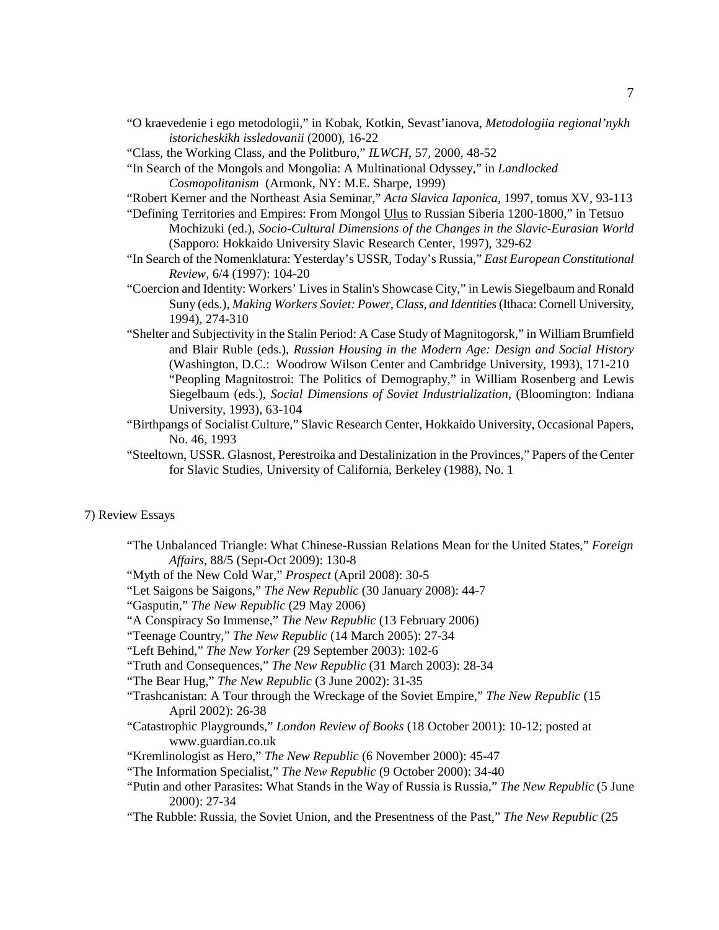- "O kraevedenie i ego metodologii," in Kobak, Kotkin, Sevast'ianova, *Metodologiia regional'nykh istoricheskikh issledovanii* (2000), 16-22
- "Class, the Working Class, and the Politburo," *ILWCH*, 57, 2000, 48-52
- "In Search of the Mongols and Mongolia: A Multinational Odyssey," in *Landlocked Cosmopolitanism* (Armonk, NY: M.E. Sharpe, 1999)
- "Robert Kerner and the Northeast Asia Seminar," *Acta Slavica Iaponica*, 1997, tomus XV, 93-113
- "Defining Territories and Empires: From Mongol Ulus to Russian Siberia 1200-1800," in Tetsuo Mochizuki (ed.), *Socio-Cultural Dimensions of the Changes in the Slavic-Eurasian World* (Sapporo: Hokkaido University Slavic Research Center, 1997), 329-62
- "In Search of the Nomenklatura: Yesterday's USSR, Today's Russia," *East European Constitutional Review*, 6/4 (1997): 104-20
- "Coercion and Identity: Workers' Lives in Stalin's Showcase City," in Lewis Siegelbaum and Ronald Suny (eds.), *Making Workers Soviet: Power, Class, and Identities*(Ithaca: Cornell University, 1994), 274-310
- "Shelter and Subjectivity in the Stalin Period: A Case Study of Magnitogorsk," in William Brumfield and Blair Ruble (eds.), *Russian Housing in the Modern Age: Design and Social History* (Washington, D.C.: Woodrow Wilson Center and Cambridge University, 1993), 171-210 "Peopling Magnitostroi: The Politics of Demography," in William Rosenberg and Lewis Siegelbaum (eds.), *Social Dimensions of Soviet Industrialization*, (Bloomington: Indiana University, 1993), 63-104
- "Birthpangs of Socialist Culture," Slavic Research Center, Hokkaido University, Occasional Papers, No. 46, 1993
- "Steeltown, USSR. Glasnost, Perestroika and Destalinization in the Provinces," Papers of the Center for Slavic Studies, University of California, Berkeley (1988), No. 1

## 7) Review Essays

- "The Unbalanced Triangle: What Chinese-Russian Relations Mean for the United States," *Foreign Affairs*, 88/5 (Sept-Oct 2009): 130-8
- "Myth of the New Cold War," *Prospect* (April 2008): 30-5
- "Let Saigons be Saigons," *The New Republic* (30 January 2008): 44-7
- "Gasputin," *The New Republic* (29 May 2006)
- "A Conspiracy So Immense," *The New Republic* (13 February 2006)
- "Teenage Country," *The New Republic* (14 March 2005): 27-34
- "Left Behind," *The New Yorker* (29 September 2003): 102-6
- "Truth and Consequences," *The New Republic* (31 March 2003): 28-34
- "The Bear Hug," *The New Republic* (3 June 2002): 31-35
- "Trashcanistan: A Tour through the Wreckage of the Soviet Empire," *The New Republic* (15 April 2002): 26-38
- "Catastrophic Playgrounds," *London Review of Books* (18 October 2001): 10-12; posted at www.guardian.co.uk
- "Kremlinologist as Hero," *The New Republic* (6 November 2000): 45-47
- "The Information Specialist," *The New Republic* (9 October 2000): 34-40
- "Putin and other Parasites: What Stands in the Way of Russia is Russia," *The New Republic* (5 June 2000): 27-34
- "The Rubble: Russia, the Soviet Union, and the Presentness of the Past," *The New Republic* (25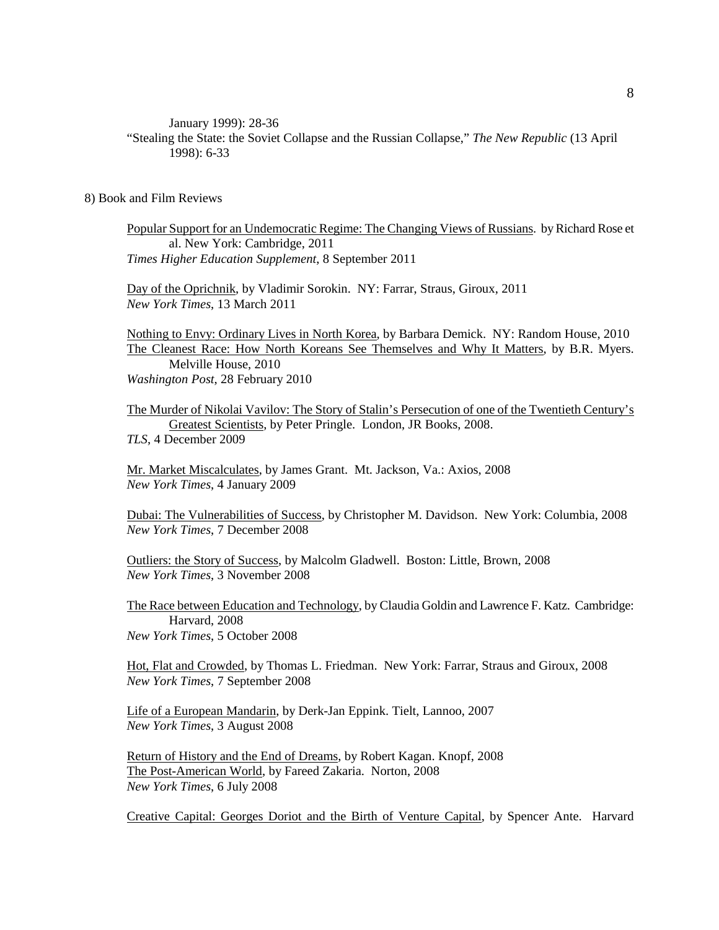January 1999): 28-36

"Stealing the State: the Soviet Collapse and the Russian Collapse," *The New Republic* (13 April 1998): 6-33

#### 8) Book and Film Reviews

Popular Support for an Undemocratic Regime: The Changing Views of Russians. by Richard Rose et al. New York: Cambridge, 2011 *Times Higher Education Supplement*, 8 September 2011

Day of the Oprichnik, by Vladimir Sorokin. NY: Farrar, Straus, Giroux, 2011 *New York Times*, 13 March 2011

Nothing to Envy: Ordinary Lives in North Korea, by Barbara Demick. NY: Random House, 2010 The Cleanest Race: How North Koreans See Themselves and Why It Matters, by B.R. Myers. Melville House, 2010 *Washington Post*, 28 February 2010

The Murder of Nikolai Vavilov: The Story of Stalin's Persecution of one of the Twentieth Century's Greatest Scientists, by Peter Pringle. London, JR Books, 2008. *TLS*, 4 December 2009

Mr. Market Miscalculates, by James Grant. Mt. Jackson, Va.: Axios, 2008 *New York Times*, 4 January 2009

Dubai: The Vulnerabilities of Success, by Christopher M. Davidson. New York: Columbia, 2008 *New York Times*, 7 December 2008

Outliers: the Story of Success, by Malcolm Gladwell. Boston: Little, Brown, 2008 *New York Times*, 3 November 2008

The Race between Education and Technology, by Claudia Goldin and Lawrence F. Katz. Cambridge: Harvard, 2008 *New York Times*, 5 October 2008

Hot, Flat and Crowded, by Thomas L. Friedman. New York: Farrar, Straus and Giroux, 2008 *New York Times*, 7 September 2008

Life of a European Mandarin, by Derk-Jan Eppink. Tielt, Lannoo, 2007 *New York Times*, 3 August 2008

Return of History and the End of Dreams, by Robert Kagan. Knopf, 2008 The Post-American World, by Fareed Zakaria. Norton, 2008 *New York Times*, 6 July 2008

Creative Capital: Georges Doriot and the Birth of Venture Capital, by Spencer Ante. Harvard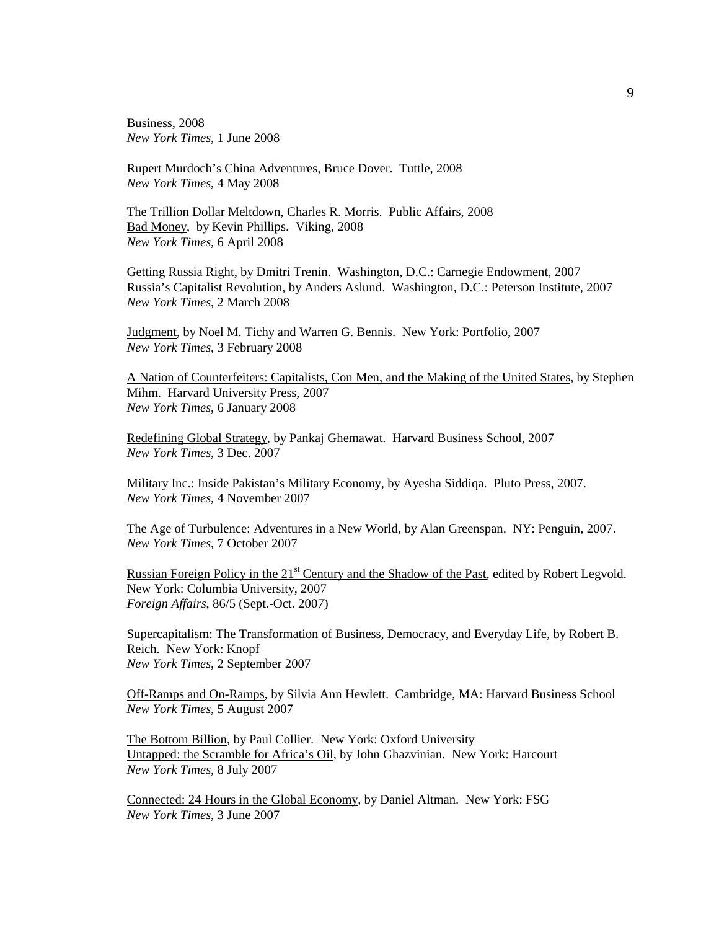Business, 2008 *New York Times*, 1 June 2008

Rupert Murdoch's China Adventures, Bruce Dover. Tuttle, 2008 *New York Times*, 4 May 2008

The Trillion Dollar Meltdown, Charles R. Morris. Public Affairs, 2008 Bad Money, by Kevin Phillips. Viking, 2008 *New York Times*, 6 April 2008

Getting Russia Right, by Dmitri Trenin. Washington, D.C.: Carnegie Endowment, 2007 Russia's Capitalist Revolution, by Anders Aslund. Washington, D.C.: Peterson Institute, 2007 *New York Times*, 2 March 2008

Judgment, by Noel M. Tichy and Warren G. Bennis. New York: Portfolio, 2007 *New York Times*, 3 February 2008

A Nation of Counterfeiters: Capitalists, Con Men, and the Making of the United States, by Stephen Mihm. Harvard University Press, 2007 *New York Times*, 6 January 2008

Redefining Global Strategy, by Pankaj Ghemawat. Harvard Business School, 2007 *New York Times*, 3 Dec. 2007

Military Inc.: Inside Pakistan's Military Economy, by Ayesha Siddiqa. Pluto Press, 2007. *New York Times*, 4 November 2007

The Age of Turbulence: Adventures in a New World, by Alan Greenspan. NY: Penguin, 2007. *New York Times*, 7 October 2007

Russian Foreign Policy in the 21<sup>st</sup> Century and the Shadow of the Past, edited by Robert Legvold. New York: Columbia University, 2007 *Foreign Affairs*, 86/5 (Sept.-Oct. 2007)

Supercapitalism: The Transformation of Business, Democracy, and Everyday Life, by Robert B. Reich. New York: Knopf *New York Times*, 2 September 2007

Off-Ramps and On-Ramps, by Silvia Ann Hewlett. Cambridge, MA: Harvard Business School *New York Times*, 5 August 2007

The Bottom Billion, by Paul Collier. New York: Oxford University Untapped: the Scramble for Africa's Oil, by John Ghazvinian. New York: Harcourt *New York Times*, 8 July 2007

Connected: 24 Hours in the Global Economy, by Daniel Altman. New York: FSG *New York Times*, 3 June 2007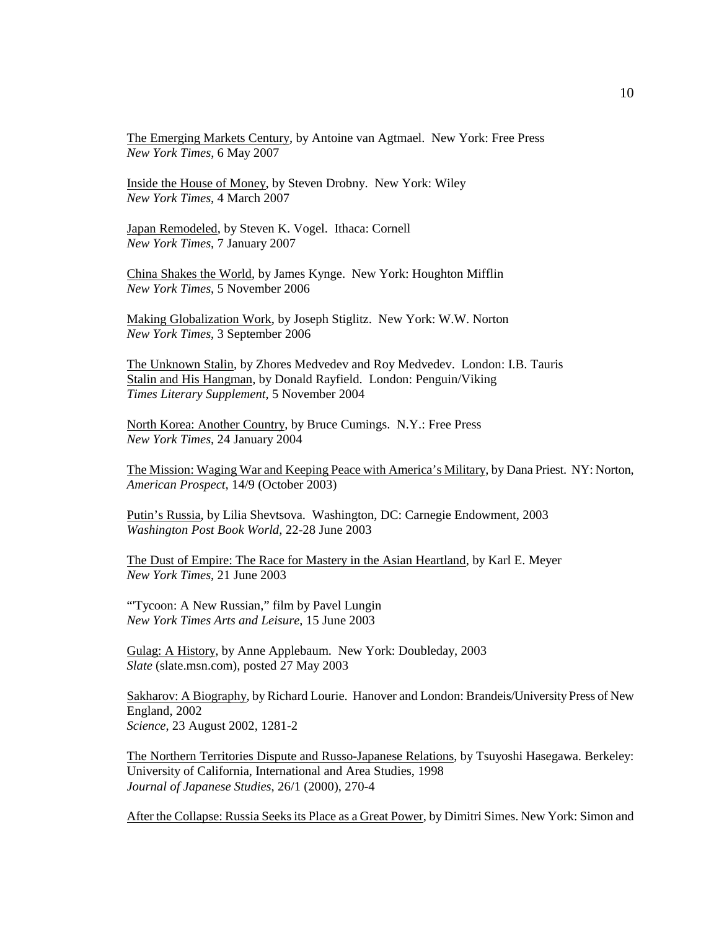The Emerging Markets Century, by Antoine van Agtmael. New York: Free Press *New York Times*, 6 May 2007

Inside the House of Money, by Steven Drobny. New York: Wiley *New York Times*, 4 March 2007

Japan Remodeled, by Steven K. Vogel. Ithaca: Cornell *New York Times*, 7 January 2007

China Shakes the World, by James Kynge. New York: Houghton Mifflin *New York Times*, 5 November 2006

Making Globalization Work, by Joseph Stiglitz. New York: W.W. Norton *New York Times*, 3 September 2006

The Unknown Stalin, by Zhores Medvedev and Roy Medvedev. London: I.B. Tauris Stalin and His Hangman, by Donald Rayfield. London: Penguin/Viking *Times Literary Supplement*, 5 November 2004

North Korea: Another Country, by Bruce Cumings. N.Y.: Free Press *New York Times*, 24 January 2004

The Mission: Waging War and Keeping Peace with America's Military, by Dana Priest. NY: Norton, *American Prospect*, 14/9 (October 2003)

Putin's Russia, by Lilia Shevtsova. Washington, DC: Carnegie Endowment, 2003 *Washington Post Book World*, 22-28 June 2003

The Dust of Empire: The Race for Mastery in the Asian Heartland, by Karl E. Meyer *New York Times*, 21 June 2003

"'Tycoon: A New Russian," film by Pavel Lungin *New York Times Arts and Leisure*, 15 June 2003

Gulag: A History, by Anne Applebaum. New York: Doubleday, 2003 *Slate* (slate.msn.com), posted 27 May 2003

Sakharov: A Biography, by Richard Lourie. Hanover and London: Brandeis/University Press of New England, 2002 *Science*, 23 August 2002, 1281-2

The Northern Territories Dispute and Russo-Japanese Relations, by Tsuyoshi Hasegawa. Berkeley: University of California, International and Area Studies, 1998 *Journal of Japanese Studies*, 26/1 (2000), 270-4

After the Collapse: Russia Seeks its Place as a Great Power, by Dimitri Simes. New York: Simon and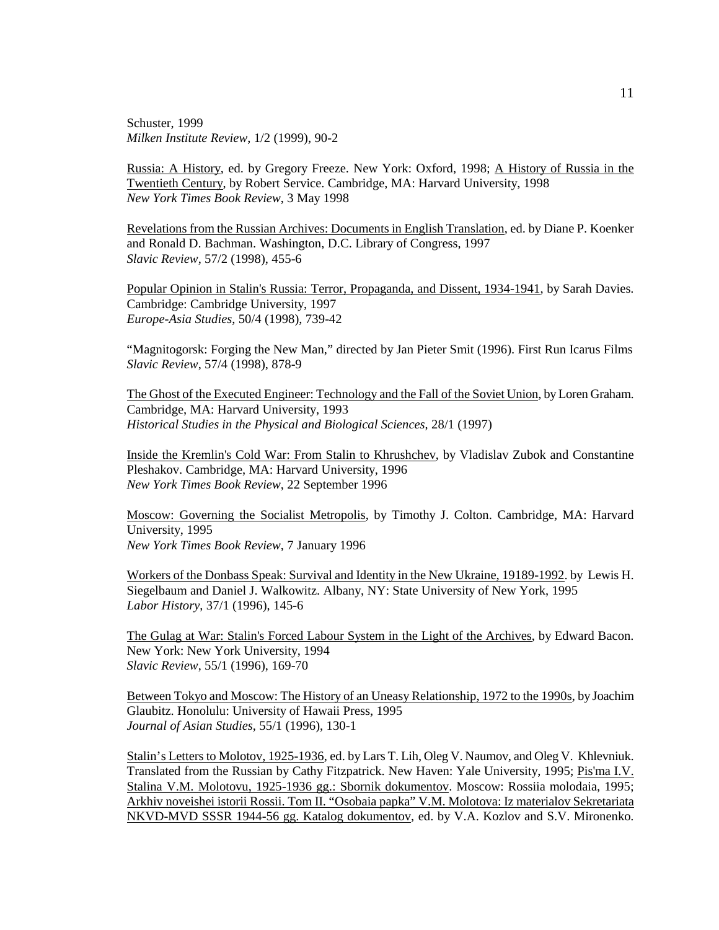Schuster, 1999 *Milken Institute Review*, 1/2 (1999), 90-2

Russia: A History, ed. by Gregory Freeze. New York: Oxford, 1998; A History of Russia in the Twentieth Century, by Robert Service. Cambridge, MA: Harvard University, 1998 *New York Times Book Review*, 3 May 1998

Revelations from the Russian Archives: Documents in English Translation, ed. by Diane P. Koenker and Ronald D. Bachman. Washington, D.C. Library of Congress, 1997 *Slavic Review*, 57/2 (1998), 455-6

Popular Opinion in Stalin's Russia: Terror, Propaganda, and Dissent, 1934-1941, by Sarah Davies. Cambridge: Cambridge University, 1997 *Europe-Asia Studies*, 50/4 (1998), 739-42

"Magnitogorsk: Forging the New Man," directed by Jan Pieter Smit (1996). First Run Icarus Films *Slavic Review*, 57/4 (1998), 878-9

The Ghost of the Executed Engineer: Technology and the Fall of the Soviet Union, by Loren Graham. Cambridge, MA: Harvard University, 1993 *Historical Studies in the Physical and Biological Sciences*, 28/1 (1997)

Inside the Kremlin's Cold War: From Stalin to Khrushchev, by Vladislav Zubok and Constantine Pleshakov. Cambridge, MA: Harvard University, 1996 *New York Times Book Review*, 22 September 1996

Moscow: Governing the Socialist Metropolis, by Timothy J. Colton. Cambridge, MA: Harvard University, 1995 *New York Times Book Review*, 7 January 1996

Workers of the Donbass Speak: Survival and Identity in the New Ukraine, 19189-1992. by Lewis H. Siegelbaum and Daniel J. Walkowitz. Albany, NY: State University of New York, 1995 *Labor History*, 37/1 (1996), 145-6

The Gulag at War: Stalin's Forced Labour System in the Light of the Archives, by Edward Bacon. New York: New York University, 1994 *Slavic Review*, 55/1 (1996), 169-70

Between Tokyo and Moscow: The History of an Uneasy Relationship, 1972 to the 1990s, by Joachim Glaubitz. Honolulu: University of Hawaii Press, 1995 *Journal of Asian Studies*, 55/1 (1996), 130-1

Stalin's Letters to Molotov, 1925-1936, ed. by Lars T. Lih, Oleg V. Naumov, and Oleg V. Khlevniuk. Translated from the Russian by Cathy Fitzpatrick. New Haven: Yale University, 1995; Pis'ma I.V. Stalina V.M. Molotovu, 1925-1936 gg.: Sbornik dokumentov. Moscow: Rossiia molodaia, 1995; Arkhiv noveishei istorii Rossii. Tom II. "Osobaia papka" V.M. Molotova: Iz materialov Sekretariata NKVD-MVD SSSR 1944-56 gg. Katalog dokumentov, ed. by V.A. Kozlov and S.V. Mironenko.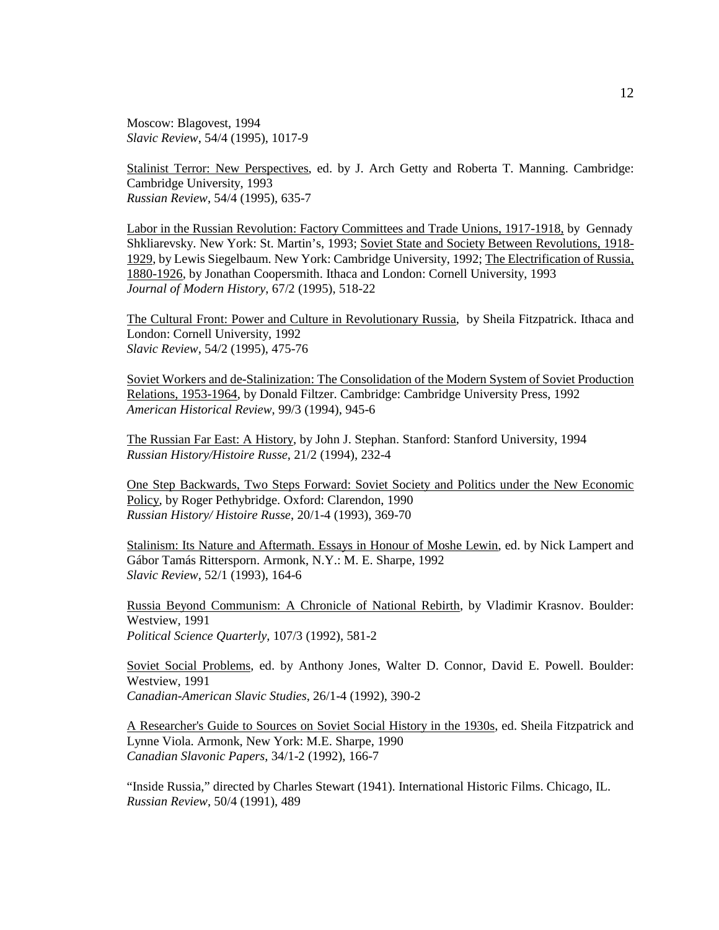Moscow: Blagovest, 1994 *Slavic Review*, 54/4 (1995), 1017-9

Stalinist Terror: New Perspectives, ed. by J. Arch Getty and Roberta T. Manning. Cambridge: Cambridge University, 1993 *Russian Review*, 54/4 (1995), 635-7

Labor in the Russian Revolution: Factory Committees and Trade Unions, 1917-1918, by Gennady Shkliarevsky. New York: St. Martin's, 1993; Soviet State and Society Between Revolutions, 1918- 1929, by Lewis Siegelbaum. New York: Cambridge University, 1992; The Electrification of Russia, 1880-1926, by Jonathan Coopersmith. Ithaca and London: Cornell University, 1993 *Journal of Modern History*, 67/2 (1995), 518-22

The Cultural Front: Power and Culture in Revolutionary Russia, by Sheila Fitzpatrick. Ithaca and London: Cornell University, 1992 *Slavic Review*, 54/2 (1995), 475-76

Soviet Workers and de-Stalinization: The Consolidation of the Modern System of Soviet Production Relations, 1953-1964, by Donald Filtzer. Cambridge: Cambridge University Press, 1992 *American Historical Review*, 99/3 (1994), 945-6

The Russian Far East: A History, by John J. Stephan. Stanford: Stanford University, 1994 *Russian History/Histoire Russe*, 21/2 (1994), 232-4

One Step Backwards, Two Steps Forward: Soviet Society and Politics under the New Economic Policy, by Roger Pethybridge. Oxford: Clarendon, 1990 *Russian History/ Histoire Russe*, 20/1-4 (1993), 369-70

Stalinism: Its Nature and Aftermath. Essays in Honour of Moshe Lewin, ed. by Nick Lampert and Gábor Tamás Rittersporn. Armonk, N.Y.: M. E. Sharpe, 1992 *Slavic Review*, 52/1 (1993), 164-6

Russia Beyond Communism: A Chronicle of National Rebirth, by Vladimir Krasnov. Boulder: Westview, 1991 *Political Science Quarterly*, 107/3 (1992), 581-2

Soviet Social Problems, ed. by Anthony Jones, Walter D. Connor, David E. Powell. Boulder: Westview, 1991 *Canadian-American Slavic Studies*, 26/1-4 (1992), 390-2

A Researcher's Guide to Sources on Soviet Social History in the 1930s, ed. Sheila Fitzpatrick and Lynne Viola. Armonk, New York: M.E. Sharpe, 1990 *Canadian Slavonic Papers*, 34/1-2 (1992), 166-7

"Inside Russia," directed by Charles Stewart (1941). International Historic Films. Chicago, IL. *Russian Review*, 50/4 (1991), 489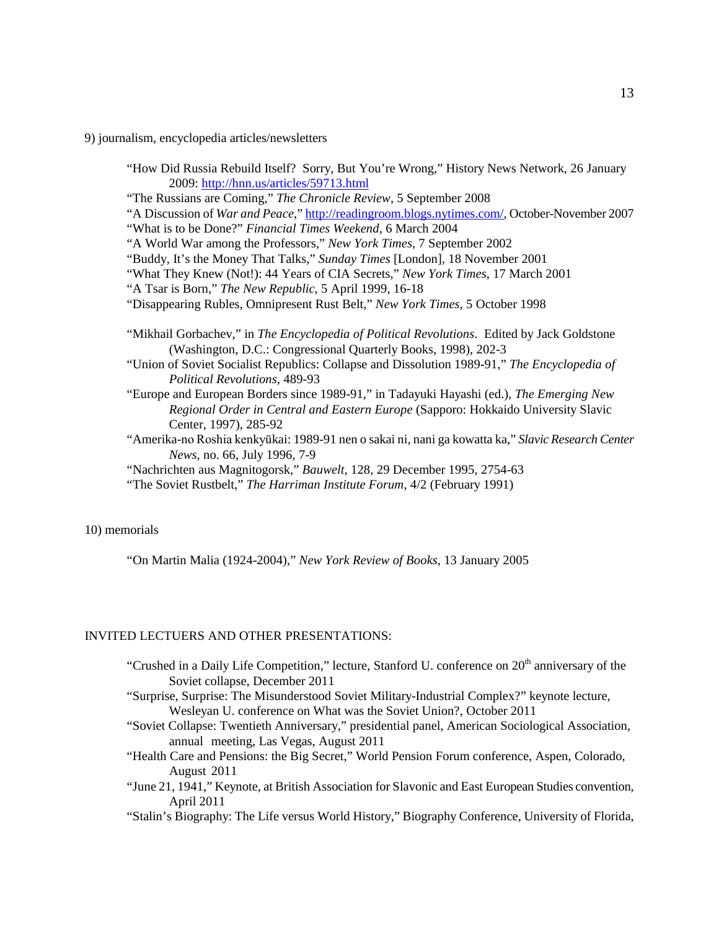9) journalism, encyclopedia articles/newsletters

|                                         | "How Did Russia Rebuild Itself? Sorry, But You're Wrong," History News Network, 26 January |
|-----------------------------------------|--------------------------------------------------------------------------------------------|
| 2009: http://hnn.us/articles/59713.html |                                                                                            |

"The Russians are Coming," *The Chronicle Review*, 5 September 2008

"A Discussion of *War and Peace*," [http://readingroom.blogs.nytimes.com/,](http://readingroom.blogs.nytimes.com/) October-November 2007 "What is to be Done?" *Financial Times Weekend*, 6 March 2004

"A World War among the Professors," *New York Times*, 7 September 2002

"Buddy, It's the Money That Talks," *Sunday Times* [London], 18 November 2001

- "What They Knew (Not!): 44 Years of CIA Secrets," *New York Times*, 17 March 2001
- "A Tsar is Born," *The New Republic*, 5 April 1999, 16-18
- "Disappearing Rubles, Omnipresent Rust Belt," *New York Times*, 5 October 1998
- "Mikhail Gorbachev," in *The Encyclopedia of Political Revolutions*. Edited by Jack Goldstone (Washington, D.C.: Congressional Quarterly Books, 1998), 202-3
- "Union of Soviet Socialist Republics: Collapse and Dissolution 1989-91," *The Encyclopedia of Political Revolutions*, 489-93
- "Europe and European Borders since 1989-91," in Tadayuki Hayashi (ed.), *The Emerging New Regional Order in Central and Eastern Europe* (Sapporo: Hokkaido University Slavic Center, 1997), 285-92
- "Amerika-no Roshia kenkyūkai: 1989-91 nen o sakai ni, nani ga kowatta ka," *Slavic Research Center News*, no. 66, July 1996, 7-9
- "Nachrichten aus Magnitogorsk," *Bauwelt*, 128, 29 December 1995, 2754-63

"The Soviet Rustbelt," *The Harriman Institute Forum*, 4/2 (February 1991)

10) memorials

"On Martin Malia (1924-2004)," *New York Review of Books*, 13 January 2005

## INVITED LECTUERS AND OTHER PRESENTATIONS:

- "Crushed in a Daily Life Competition," lecture, Stanford U. conference on 20<sup>th</sup> anniversary of the Soviet collapse, December 2011
- "Surprise, Surprise: The Misunderstood Soviet Military-Industrial Complex?" keynote lecture, Wesleyan U. conference on What was the Soviet Union?, October 2011
- "Soviet Collapse: Twentieth Anniversary," presidential panel, American Sociological Association, annual meeting, Las Vegas, August 2011
- "Health Care and Pensions: the Big Secret," World Pension Forum conference, Aspen, Colorado, August 2011
- "June 21, 1941," Keynote, at British Association for Slavonic and East European Studies convention, April 2011

"Stalin's Biography: The Life versus World History," Biography Conference, University of Florida,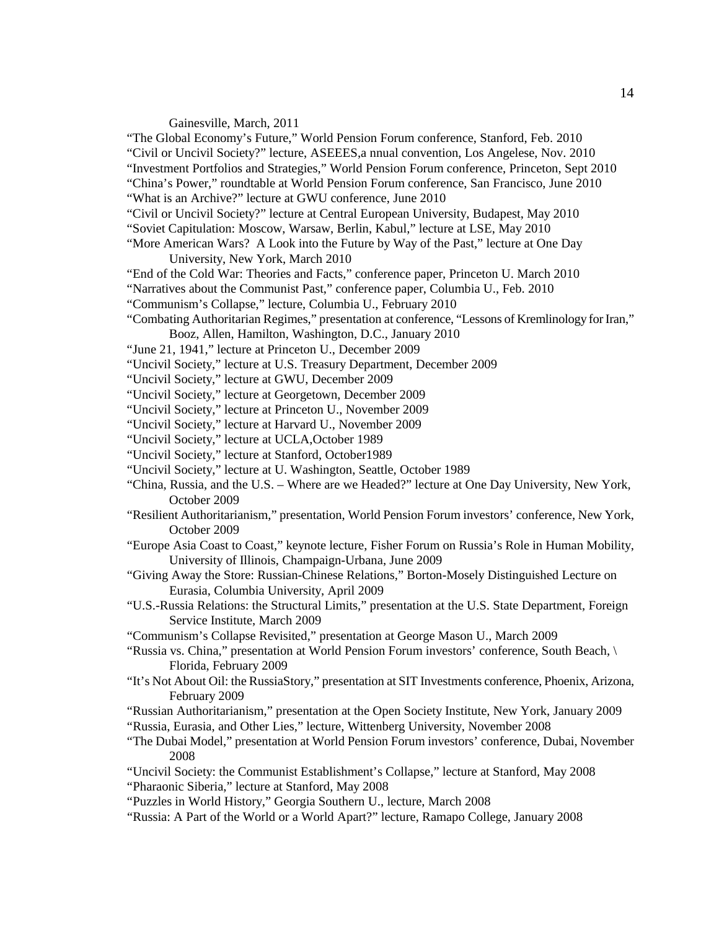#### Gainesville, March, 2011

"The Global Economy's Future," World Pension Forum conference, Stanford, Feb. 2010

"Civil or Uncivil Society?" lecture, ASEEES,a nnual convention, Los Angelese, Nov. 2010 "Investment Portfolios and Strategies," World Pension Forum conference, Princeton, Sept 2010 "China's Power," roundtable at World Pension Forum conference, San Francisco, June 2010

"What is an Archive?" lecture at GWU conference, June 2010

"Civil or Uncivil Society?" lecture at Central European University, Budapest, May 2010

- "Soviet Capitulation: Moscow, Warsaw, Berlin, Kabul," lecture at LSE, May 2010
- "More American Wars? A Look into the Future by Way of the Past," lecture at One Day University, New York, March 2010
- "End of the Cold War: Theories and Facts," conference paper, Princeton U. March 2010
- "Narratives about the Communist Past," conference paper, Columbia U., Feb. 2010
- "Communism's Collapse," lecture, Columbia U., February 2010
- "Combating Authoritarian Regimes," presentation at conference, "Lessons of Kremlinology for Iran," Booz, Allen, Hamilton, Washington, D.C., January 2010
- "June 21, 1941," lecture at Princeton U., December 2009
- "Uncivil Society," lecture at U.S. Treasury Department, December 2009
- "Uncivil Society," lecture at GWU, December 2009
- "Uncivil Society," lecture at Georgetown, December 2009
- "Uncivil Society," lecture at Princeton U., November 2009
- "Uncivil Society," lecture at Harvard U., November 2009
- "Uncivil Society," lecture at UCLA,October 1989
- "Uncivil Society," lecture at Stanford, October1989
- "Uncivil Society," lecture at U. Washington, Seattle, October 1989
- "China, Russia, and the U.S. Where are we Headed?" lecture at One Day University, New York, October 2009
- "Resilient Authoritarianism," presentation, World Pension Forum investors' conference, New York, October 2009
- "Europe Asia Coast to Coast," keynote lecture, Fisher Forum on Russia's Role in Human Mobility, University of Illinois, Champaign-Urbana, June 2009
- "Giving Away the Store: Russian-Chinese Relations," Borton-Mosely Distinguished Lecture on Eurasia, Columbia University, April 2009
- "U.S.-Russia Relations: the Structural Limits," presentation at the U.S. State Department, Foreign Service Institute, March 2009
- "Communism's Collapse Revisited," presentation at George Mason U., March 2009
- "Russia vs. China," presentation at World Pension Forum investors' conference, South Beach, \ Florida, February 2009
- "It's Not About Oil: the RussiaStory," presentation at SIT Investments conference, Phoenix, Arizona, February 2009
- "Russian Authoritarianism," presentation at the Open Society Institute, New York, January 2009
- "Russia, Eurasia, and Other Lies," lecture, Wittenberg University, November 2008
- "The Dubai Model," presentation at World Pension Forum investors' conference, Dubai, November 2008
- "Uncivil Society: the Communist Establishment's Collapse," lecture at Stanford, May 2008 "Pharaonic Siberia," lecture at Stanford, May 2008
- "Puzzles in World History," Georgia Southern U., lecture, March 2008
- "Russia: A Part of the World or a World Apart?" lecture, Ramapo College, January 2008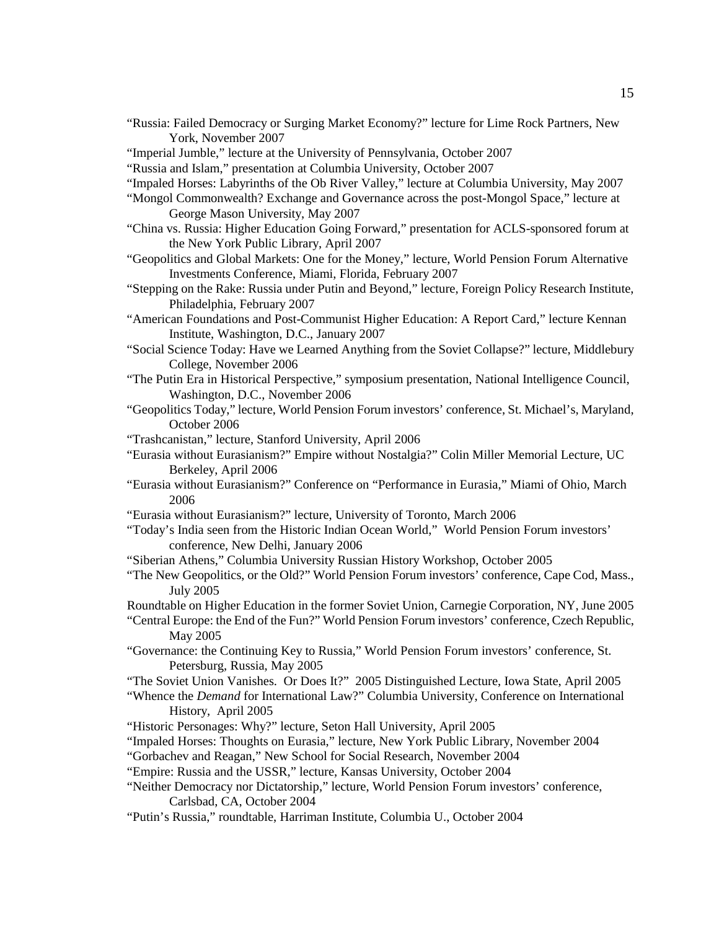- "Russia: Failed Democracy or Surging Market Economy?" lecture for Lime Rock Partners, New York, November 2007
- "Imperial Jumble," lecture at the University of Pennsylvania, October 2007
- "Russia and Islam," presentation at Columbia University, October 2007
- "Impaled Horses: Labyrinths of the Ob River Valley," lecture at Columbia University, May 2007
- "Mongol Commonwealth? Exchange and Governance across the post-Mongol Space," lecture at George Mason University, May 2007
- "China vs. Russia: Higher Education Going Forward," presentation for ACLS-sponsored forum at the New York Public Library, April 2007
- "Geopolitics and Global Markets: One for the Money," lecture, World Pension Forum Alternative Investments Conference, Miami, Florida, February 2007
- "Stepping on the Rake: Russia under Putin and Beyond," lecture, Foreign Policy Research Institute, Philadelphia, February 2007
- "American Foundations and Post-Communist Higher Education: A Report Card," lecture Kennan Institute, Washington, D.C., January 2007
- "Social Science Today: Have we Learned Anything from the Soviet Collapse?" lecture, Middlebury College, November 2006
- "The Putin Era in Historical Perspective," symposium presentation, National Intelligence Council, Washington, D.C., November 2006
- "Geopolitics Today," lecture, World Pension Forum investors' conference, St. Michael's, Maryland, October 2006
- "Trashcanistan," lecture, Stanford University, April 2006
- "Eurasia without Eurasianism?" Empire without Nostalgia?" Colin Miller Memorial Lecture, UC Berkeley, April 2006
- "Eurasia without Eurasianism?" Conference on "Performance in Eurasia," Miami of Ohio, March 2006
- "Eurasia without Eurasianism?" lecture, University of Toronto, March 2006
- "Today's India seen from the Historic Indian Ocean World," World Pension Forum investors' conference, New Delhi, January 2006
- "Siberian Athens," Columbia University Russian History Workshop, October 2005
- "The New Geopolitics, or the Old?" World Pension Forum investors' conference, Cape Cod, Mass., July 2005
- Roundtable on Higher Education in the former Soviet Union, Carnegie Corporation, NY, June 2005
- "Central Europe: the End of the Fun?" World Pension Forum investors' conference, Czech Republic, May 2005
- "Governance: the Continuing Key to Russia," World Pension Forum investors' conference, St. Petersburg, Russia, May 2005
- "The Soviet Union Vanishes. Or Does It?" 2005 Distinguished Lecture, Iowa State, April 2005
- "Whence the *Demand* for International Law?" Columbia University, Conference on International History, April 2005
- "Historic Personages: Why?" lecture, Seton Hall University, April 2005
- "Impaled Horses: Thoughts on Eurasia," lecture, New York Public Library, November 2004
- "Gorbachev and Reagan," New School for Social Research, November 2004
- "Empire: Russia and the USSR," lecture, Kansas University, October 2004
- "Neither Democracy nor Dictatorship," lecture, World Pension Forum investors' conference, Carlsbad, CA, October 2004
- "Putin's Russia," roundtable, Harriman Institute, Columbia U., October 2004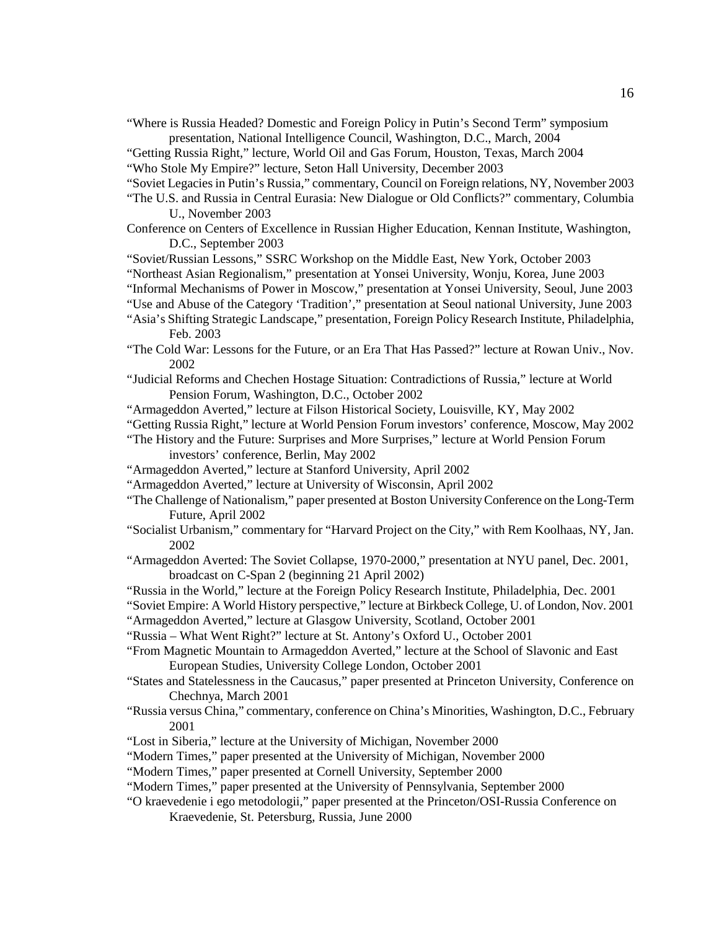- "Where is Russia Headed? Domestic and Foreign Policy in Putin's Second Term" symposium presentation, National Intelligence Council, Washington, D.C., March, 2004
- "Getting Russia Right," lecture, World Oil and Gas Forum, Houston, Texas, March 2004
- "Who Stole My Empire?" lecture, Seton Hall University, December 2003
- "Soviet Legacies in Putin's Russia," commentary, Council on Foreign relations, NY, November 2003
- "The U.S. and Russia in Central Eurasia: New Dialogue or Old Conflicts?" commentary, Columbia U., November 2003
- Conference on Centers of Excellence in Russian Higher Education, Kennan Institute, Washington, D.C., September 2003
- "Soviet/Russian Lessons," SSRC Workshop on the Middle East, New York, October 2003
- "Northeast Asian Regionalism," presentation at Yonsei University, Wonju, Korea, June 2003
- "Informal Mechanisms of Power in Moscow," presentation at Yonsei University, Seoul, June 2003
- "Use and Abuse of the Category 'Tradition'," presentation at Seoul national University, June 2003
- "Asia's Shifting Strategic Landscape," presentation, Foreign Policy Research Institute, Philadelphia, Feb. 2003
- "The Cold War: Lessons for the Future, or an Era That Has Passed?" lecture at Rowan Univ., Nov. 2002
- "Judicial Reforms and Chechen Hostage Situation: Contradictions of Russia," lecture at World Pension Forum, Washington, D.C., October 2002
- "Armageddon Averted," lecture at Filson Historical Society, Louisville, KY, May 2002
- "Getting Russia Right," lecture at World Pension Forum investors' conference, Moscow, May 2002
- "The History and the Future: Surprises and More Surprises," lecture at World Pension Forum investors' conference, Berlin, May 2002
- "Armageddon Averted," lecture at Stanford University, April 2002
- "Armageddon Averted," lecture at University of Wisconsin, April 2002
- "The Challenge of Nationalism," paper presented at Boston University Conference on the Long-Term Future, April 2002
- "Socialist Urbanism," commentary for "Harvard Project on the City," with Rem Koolhaas, NY, Jan. 2002
- "Armageddon Averted: The Soviet Collapse, 1970-2000," presentation at NYU panel, Dec. 2001, broadcast on C-Span 2 (beginning 21 April 2002)
- "Russia in the World," lecture at the Foreign Policy Research Institute, Philadelphia, Dec. 2001
- "Soviet Empire: A World History perspective," lecture at Birkbeck College, U. of London, Nov. 2001
- "Armageddon Averted," lecture at Glasgow University, Scotland, October 2001
- "Russia What Went Right?" lecture at St. Antony's Oxford U., October 2001
- "From Magnetic Mountain to Armageddon Averted," lecture at the School of Slavonic and East European Studies, University College London, October 2001
- "States and Statelessness in the Caucasus," paper presented at Princeton University, Conference on Chechnya, March 2001
- "Russia versus China," commentary, conference on China's Minorities, Washington, D.C., February 2001
- "Lost in Siberia," lecture at the University of Michigan, November 2000
- "Modern Times," paper presented at the University of Michigan, November 2000
- "Modern Times," paper presented at Cornell University, September 2000
- "Modern Times," paper presented at the University of Pennsylvania, September 2000
- "O kraevedenie i ego metodologii," paper presented at the Princeton/OSI-Russia Conference on Kraevedenie, St. Petersburg, Russia, June 2000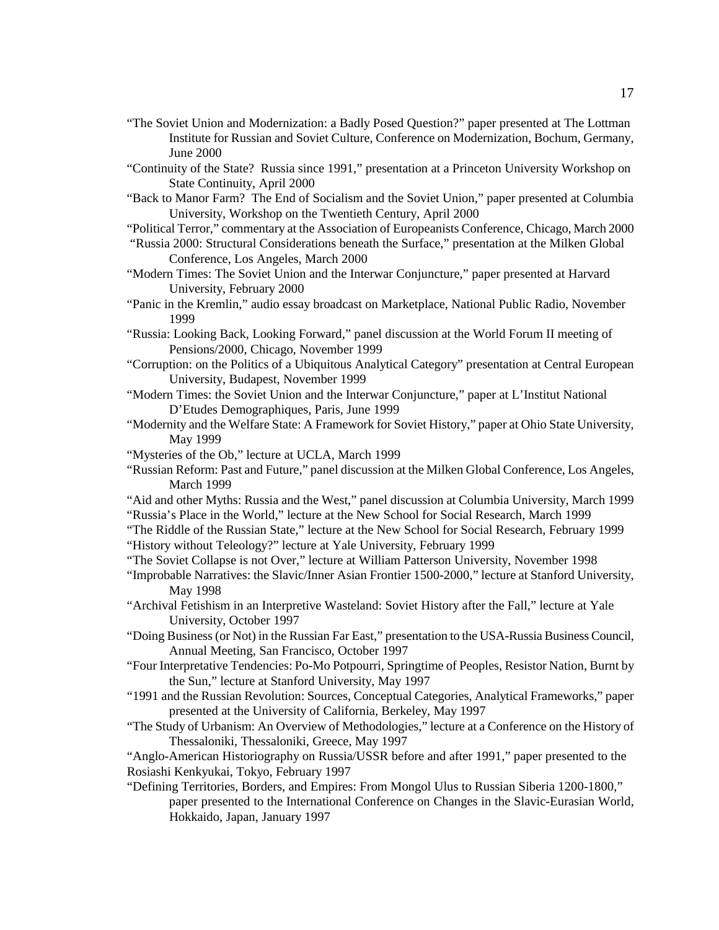- "The Soviet Union and Modernization: a Badly Posed Question?" paper presented at The Lottman Institute for Russian and Soviet Culture, Conference on Modernization, Bochum, Germany, June 2000
- "Continuity of the State? Russia since 1991," presentation at a Princeton University Workshop on State Continuity, April 2000
- "Back to Manor Farm? The End of Socialism and the Soviet Union," paper presented at Columbia University, Workshop on the Twentieth Century, April 2000
- "Political Terror," commentary at the Association of Europeanists Conference, Chicago, March 2000
- "Russia 2000: Structural Considerations beneath the Surface," presentation at the Milken Global Conference, Los Angeles, March 2000
- "Modern Times: The Soviet Union and the Interwar Conjuncture," paper presented at Harvard University, February 2000
- "Panic in the Kremlin," audio essay broadcast on Marketplace, National Public Radio, November 1999
- "Russia: Looking Back, Looking Forward," panel discussion at the World Forum II meeting of Pensions/2000, Chicago, November 1999
- "Corruption: on the Politics of a Ubiquitous Analytical Category" presentation at Central European University, Budapest, November 1999
- "Modern Times: the Soviet Union and the Interwar Conjuncture," paper at L'Institut National D'Etudes Demographiques, Paris, June 1999
- "Modernity and the Welfare State: A Framework for Soviet History," paper at Ohio State University, May 1999
- "Mysteries of the Ob," lecture at UCLA, March 1999
- "Russian Reform: Past and Future," panel discussion at the Milken Global Conference, Los Angeles, March 1999
- "Aid and other Myths: Russia and the West," panel discussion at Columbia University, March 1999 "Russia's Place in the World," lecture at the New School for Social Research, March 1999
- "The Riddle of the Russian State," lecture at the New School for Social Research, February 1999 "History without Teleology?" lecture at Yale University, February 1999
- "The Soviet Collapse is not Over," lecture at William Patterson University, November 1998
- "Improbable Narratives: the Slavic/Inner Asian Frontier 1500-2000," lecture at Stanford University, May 1998
- "Archival Fetishism in an Interpretive Wasteland: Soviet History after the Fall," lecture at Yale University, October 1997
- "Doing Business (or Not) in the Russian Far East," presentation to the USA-Russia Business Council, Annual Meeting, San Francisco, October 1997
- "Four Interpretative Tendencies: Po-Mo Potpourri, Springtime of Peoples, Resistor Nation, Burnt by the Sun," lecture at Stanford University, May 1997
- "1991 and the Russian Revolution: Sources, Conceptual Categories, Analytical Frameworks," paper presented at the University of California, Berkeley, May 1997
- "The Study of Urbanism: An Overview of Methodologies," lecture at a Conference on the History of Thessaloniki, Thessaloniki, Greece, May 1997

"Anglo-American Historiography on Russia/USSR before and after 1991," paper presented to the Rosiashi Kenkyukai, Tokyo, February 1997

"Defining Territories, Borders, and Empires: From Mongol Ulus to Russian Siberia 1200-1800," paper presented to the International Conference on Changes in the Slavic-Eurasian World, Hokkaido, Japan, January 1997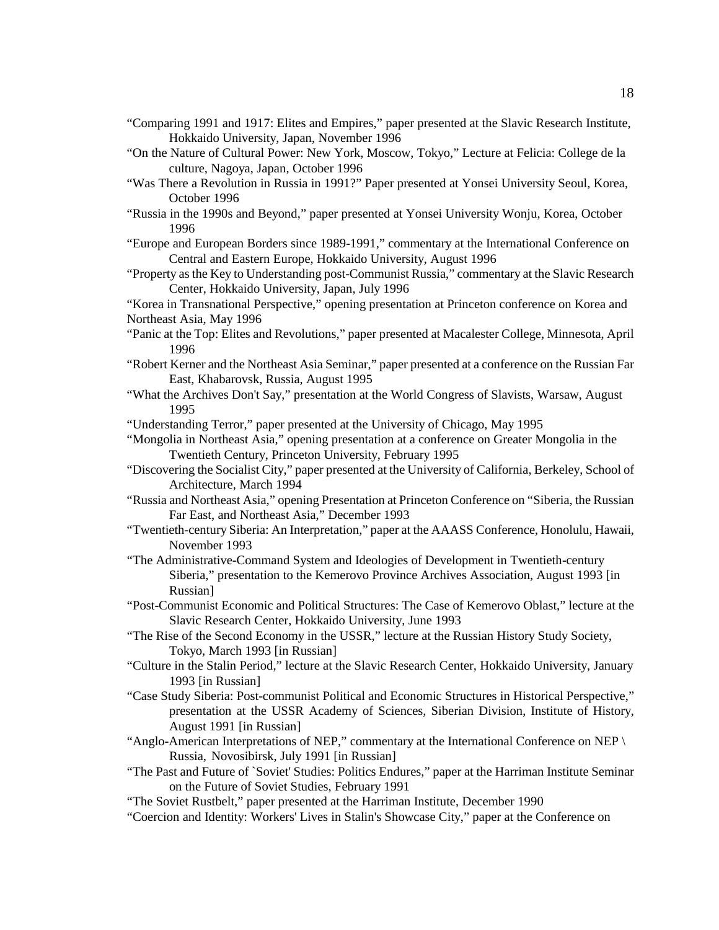- "Comparing 1991 and 1917: Elites and Empires," paper presented at the Slavic Research Institute, Hokkaido University, Japan, November 1996
- "On the Nature of Cultural Power: New York, Moscow, Tokyo," Lecture at Felicia: College de la culture, Nagoya, Japan, October 1996
- "Was There a Revolution in Russia in 1991?" Paper presented at Yonsei University Seoul, Korea, October 1996
- "Russia in the 1990s and Beyond," paper presented at Yonsei University Wonju, Korea, October 1996
- "Europe and European Borders since 1989-1991," commentary at the International Conference on Central and Eastern Europe, Hokkaido University, August 1996
- "Property as the Key to Understanding post-Communist Russia," commentary at the Slavic Research Center, Hokkaido University, Japan, July 1996

"Korea in Transnational Perspective," opening presentation at Princeton conference on Korea and Northeast Asia, May 1996

- "Panic at the Top: Elites and Revolutions," paper presented at Macalester College, Minnesota, April 1996
- "Robert Kerner and the Northeast Asia Seminar," paper presented at a conference on the Russian Far East, Khabarovsk, Russia, August 1995
- "What the Archives Don't Say," presentation at the World Congress of Slavists, Warsaw, August 1995
- "Understanding Terror," paper presented at the University of Chicago, May 1995
- "Mongolia in Northeast Asia," opening presentation at a conference on Greater Mongolia in the Twentieth Century, Princeton University, February 1995
- "Discovering the Socialist City," paper presented at the University of California, Berkeley, School of Architecture, March 1994
- "Russia and Northeast Asia," opening Presentation at Princeton Conference on "Siberia, the Russian Far East, and Northeast Asia," December 1993
- "Twentieth-century Siberia: An Interpretation," paper at the AAASS Conference, Honolulu, Hawaii, November 1993
- "The Administrative-Command System and Ideologies of Development in Twentieth-century Siberia," presentation to the Kemerovo Province Archives Association, August 1993 [in Russian]
- "Post-Communist Economic and Political Structures: The Case of Kemerovo Oblast," lecture at the Slavic Research Center, Hokkaido University, June 1993
- "The Rise of the Second Economy in the USSR," lecture at the Russian History Study Society, Tokyo, March 1993 [in Russian]
- "Culture in the Stalin Period," lecture at the Slavic Research Center, Hokkaido University, January 1993 [in Russian]
- "Case Study Siberia: Post-communist Political and Economic Structures in Historical Perspective," presentation at the USSR Academy of Sciences, Siberian Division, Institute of History, August 1991 [in Russian]
- "Anglo-American Interpretations of NEP," commentary at the International Conference on NEP \ Russia, Novosibirsk, July 1991 [in Russian]
- "The Past and Future of `Soviet' Studies: Politics Endures," paper at the Harriman Institute Seminar on the Future of Soviet Studies, February 1991
- "The Soviet Rustbelt," paper presented at the Harriman Institute, December 1990
- "Coercion and Identity: Workers' Lives in Stalin's Showcase City," paper at the Conference on